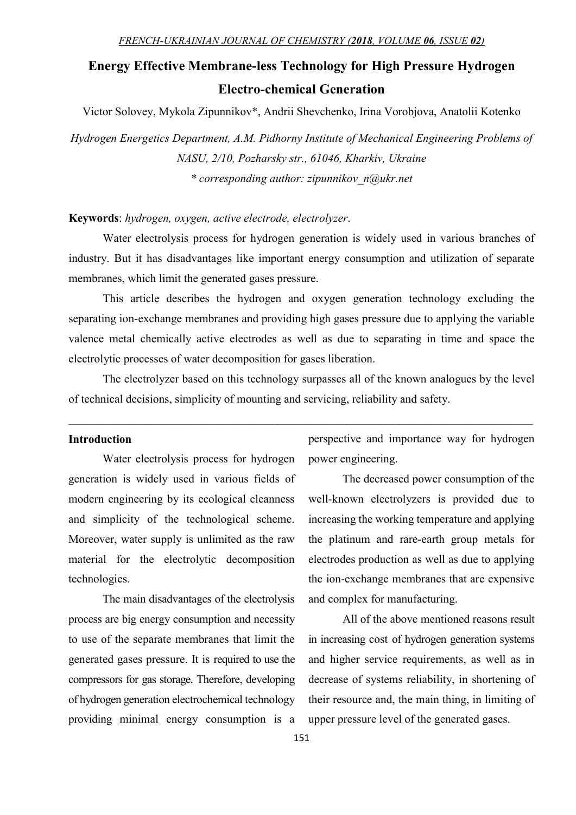# Energy Effective Membrane-less Technology for High Pressure Hydrogen Electro-chemical Generation

Victor Solovey, Mykola Zipunnikov\*, Andrii Shevchenko, Irina Vorobjova, Anatolii Kotenko

Hydrogen Energetics Department, A.M. Pidhorny Institute of Mechanical Engineering Problems of NASU, 2/10, Pozharsky str., 61046, Kharkiv, Ukraine \* corresponding author: zipunnikov\_n@ukr.net

### Keywords: hydrogen, oxygen, active electrode, electrolyzer.

Water electrolysis process for hydrogen generation is widely used in various branches of industry. But it has disadvantages like important energy consumption and utilization of separate membranes, which limit the generated gases pressure.

This article describes the hydrogen and oxygen generation technology excluding the separating ion-exchange membranes and providing high gases pressure due to applying the variable valence metal chemically active electrodes as well as due to separating in time and space the electrolytic processes of water decomposition for gases liberation.

The electrolyzer based on this technology surpasses all of the known analogues by the level of technical decisions, simplicity of mounting and servicing, reliability and safety.

### Introduction

Water electrolysis process for hydrogen generation is widely used in various fields of modern engineering by its ecological cleanness and simplicity of the technological scheme. Moreover, water supply is unlimited as the raw material for the electrolytic decomposition technologies.

The main disadvantages of the electrolysis process are big energy consumption and necessity to use of the separate membranes that limit the generated gases pressure. It is required to use the compressors for gas storage. Therefore, developing of hydrogen generation electrochemical technology providing minimal energy consumption is a

perspective and importance way for hydrogen power engineering.

The decreased power consumption of the well-known electrolyzers is provided due to increasing the working temperature and applying the platinum and rare-earth group metals for electrodes production as well as due to applying the ion-exchange membranes that are expensive and complex for manufacturing.

All of the above mentioned reasons result in increasing cost of hydrogen generation systems and higher service requirements, as well as in decrease of systems reliability, in shortening of their resource and, the main thing, in limiting of upper pressure level of the generated gases.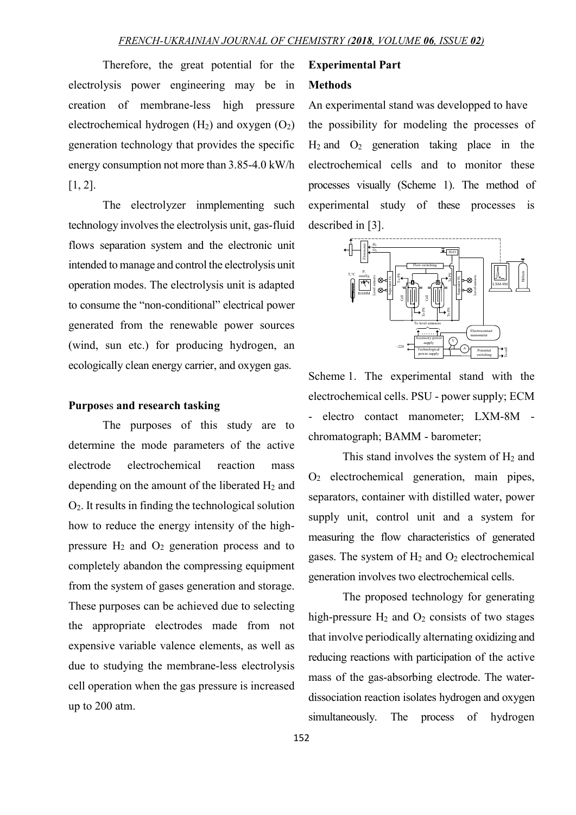Therefore, the great potential for the electrolysis power engineering may be in creation of membrane-less high pressure electrochemical hydrogen  $(H_2)$  and oxygen  $(O_2)$ generation technology that provides the specific energy consumption not more than 3.85-4.0 kW/h [1, 2].

The electrolyzer inmplementing such technology involves the electrolysis unit, gas-fluid flows separation system and the electronic unit intended to manage and control the electrolysis unit operation modes. The electrolysis unit is adapted to consume the "non-conditional" electrical power generated from the renewable power sources (wind, sun etc.) for producing hydrogen, an ecologically clean energy carrier, and oxygen gas.

### Purposes and research tasking

 The purposes of this study are to determine the mode parameters of the active electrode electrochemical reaction mass depending on the amount of the liberated  $H_2$  and О2. It results in finding the technological solution how to reduce the energy intensity of the highpressure  $H_2$  and  $O_2$  generation process and to completely abandon the compressing equipment from the system of gases generation and storage. These purposes can be achieved due to selecting the appropriate electrodes made from not expensive variable valence elements, as well as due to studying the membrane-less electrolysis cell operation when the gas pressure is increased up to 200 atm.

## Experimental Part

### **Methods**

An experimental stand was developped to have the possibility for modeling the processes of  $H_2$  and  $O_2$  generation taking place in the electrochemical cells and to monitor these processes visually (Scheme 1). The method of experimental study of these processes is described in [3].



Scheme 1. The experimental stand with the electrochemical cells. PSU - power supply; ECM - electro contact manometer; LXM-8M chromatograph; BAMM - barometer;

This stand involves the system of  $H_2$  and О2 electrochemical generation, main pipes, separators, container with distilled water, power supply unit, control unit and a system for measuring the flow characteristics of generated gases. The system of  $H_2$  and  $O_2$  electrochemical generation involves two electrochemical cells.

The proposed technology for generating high-pressure  $H_2$  and  $O_2$  consists of two stages that involve periodically alternating oxidizing and reducing reactions with participation of the active mass of the gas-absorbing electrode. The waterdissociation reaction isolates hydrogen and oxygen simultaneously. The process of hydrogen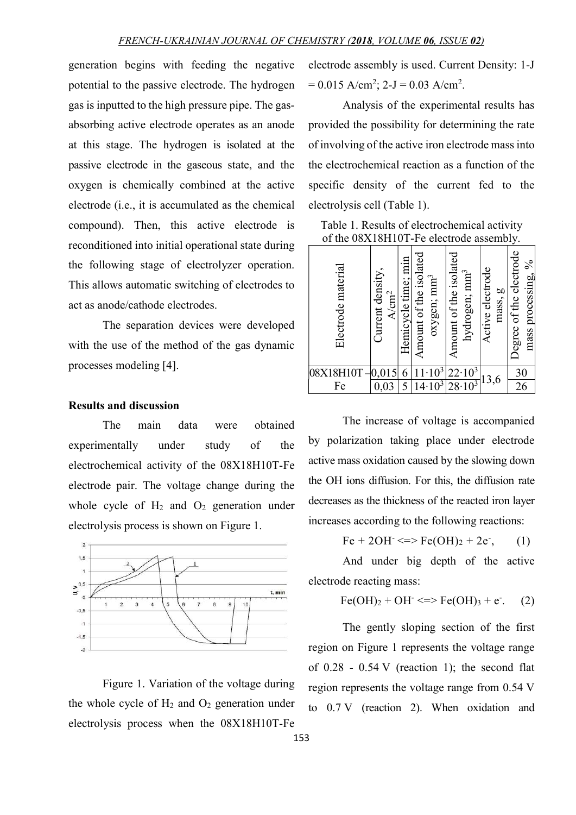$\blacksquare$ 

generation begins with feeding the negative potential to the passive electrode. The hydrogen gas is inputted to the high pressure pipe. The gasabsorbing active electrode operates as an anode at this stage. The hydrogen is isolated at the passive electrode in the gaseous state, and the oxygen is chemically combined at the active electrode (i.e., it is accumulated as the chemical compound). Then, this active electrode is reconditioned into initial operational state during the following stage of electrolyzer operation. This allows automatic switching of electrodes to act as anode/cathode electrodes.

The separation devices were developed with the use of the method of the gas dynamic processes modeling [4].

### Results and discussion

The main data were obtained experimentally under study of the electrochemical activity of the 08X18H10T-Fe electrode pair. The voltage change during the whole cycle of  $H_2$  and  $O_2$  generation under electrolysis process is shown on Figure 1.



Figure 1. Variation of the voltage during the whole cycle of  $H_2$  and  $O_2$  generation under electrolysis process when the 08Х18Н10Т-Fe electrode assembly is used. Current Density: 1-J  $= 0.015$  A/cm<sup>2</sup>; 2-J  $= 0.03$  A/cm<sup>2</sup>.

Analysis of the experimental results has provided the possibility for determining the rate of involving of the active iron electrode mass into the electrochemical reaction as a function of the specific density of the current fed to the electrolysis cell (Table 1).

| Table 1. Results of electrochemical activity |
|----------------------------------------------|
| of the 08X18H10T-Fe electrode assembly.      |

| material<br>Electrode | $\bullet$<br>density<br>$\operatorname{cm}^2$<br><b>Jurrent</b><br>₹ | min<br>time;<br>Hemicycle | isolated<br>$\text{mm}^3$<br>of the<br>oxygen;<br>Amount | mount of the isolated<br>mm <sup>3</sup><br>hydrogen; | ctive electrode<br>g<br>mass,<br>◀ | electrode<br>$\%$<br>processing,<br>of the<br>egree<br>mass |  |  |  |  |  |  |  |
|-----------------------|----------------------------------------------------------------------|---------------------------|----------------------------------------------------------|-------------------------------------------------------|------------------------------------|-------------------------------------------------------------|--|--|--|--|--|--|--|
| 08X18H10T             |                                                                      | 6                         | $\frac{1}{10^3}$                                         | $22.10^3$                                             |                                    | 30                                                          |  |  |  |  |  |  |  |
| Fe                    | ,03<br>U.                                                            |                           | $\sqrt{4.10^3}$                                          | $28 \cdot 10^3$                                       | 13,6                               | 26                                                          |  |  |  |  |  |  |  |

The increase of voltage is accompanied by polarization taking place under electrode active mass oxidation caused by the slowing down the OH ions diffusion. For this, the diffusion rate decreases as the thickness of the reacted iron layer increases according to the following reactions:

> $Fe + 2OH \leq~=~Fe(OH)<sub>2</sub> + 2e$ ,  $(1)$

And under big depth of the active electrode reacting mass:

$$
Fe(OH)_2 + OH^- \iff Fe(OH)_3 + e^-. (2)
$$

The gently sloping section of the first region on Figure 1 represents the voltage range of  $0.28 - 0.54$  V (reaction 1); the second flat region represents the voltage range from 0.54 V to 0.7 V (reaction 2). When oxidation and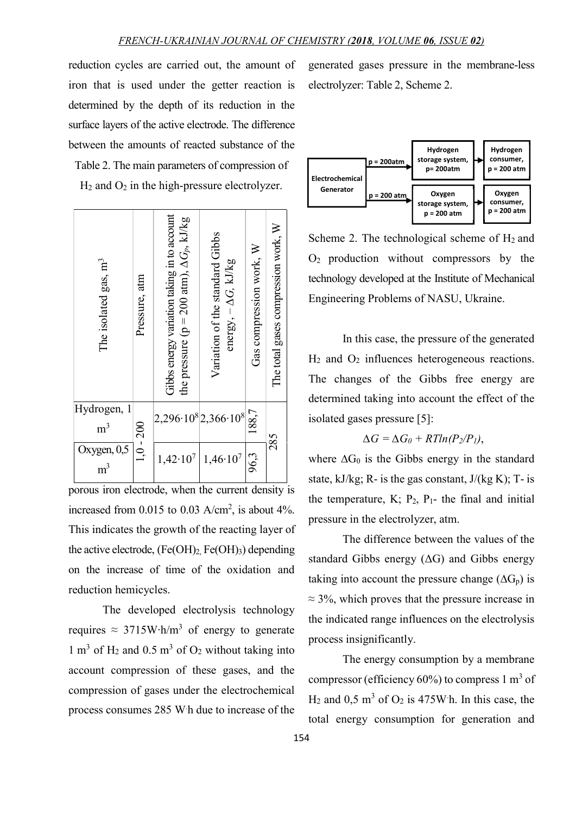reduction cycles are carried out, the amount of iron that is used under the getter reaction is determined by the depth of its reduction in the surface layers of the active electrode. The difference between the amounts of reacted substance of the Table 2. The main parameters of compression of

 $H_2$  and  $O_2$  in the high-pressure electrolyzer.



porous iron electrode, when the current density is increased from 0.015 to 0.03  $A/cm^2$ , is about 4%. This indicates the growth of the reacting layer of the active electrode,  $(Fe(OH)_2, Fe(OH)_3)$  depending on the increase of time of the oxidation and reduction hemicycles.

The developed electrolysis technology requires  $\approx 3715 \text{W} \cdot \text{h/m}^3$  of energy to generate  $1 \text{ m}^3$  of H<sub>2</sub> and  $0.5 \text{ m}^3$  of O<sub>2</sub> without taking into account compression of these gases, and the compression of gases under the electrochemical process consumes 285 W.h due to increase of the

generated gases pressure in the membrane-less electrolyzer: Table 2, Scheme 2.



Scheme 2. The technological scheme of  $H_2$  and О2 production without compressors by the technology developed at the Institute of Mechanical Engineering Problems of NASU, Ukraine.

In this case, the pressure of the generated Н2 and О2 influences heterogeneous reactions. The changes of the Gibbs free energy are determined taking into account the effect of the isolated gases pressure [5]:

$$
\Delta G = \Delta G_0 + RTln(P_2/P_1),
$$

where  $\Delta G_0$  is the Gibbs energy in the standard state, kJ/kg; R- is the gas constant,  $J/(kg K)$ ; T- is the temperature, K;  $P_2$ ,  $P_1$ - the final and initial pressure in the electrolyzer, atm.

The difference between the values of the standard Gibbs energy  $( \Delta G )$  and Gibbs energy taking into account the pressure change  $(\Delta G_p)$  is  $\approx$  3%, which proves that the pressure increase in the indicated range influences on the electrolysis process insignificantly.

The energy consumption by a membrane compressor (efficiency  $60\%$ ) to compress 1 m<sup>3</sup> of  $H_2$  and 0,5 m<sup>3</sup> of O<sub>2</sub> is 475W h. In this case, the total energy consumption for generation and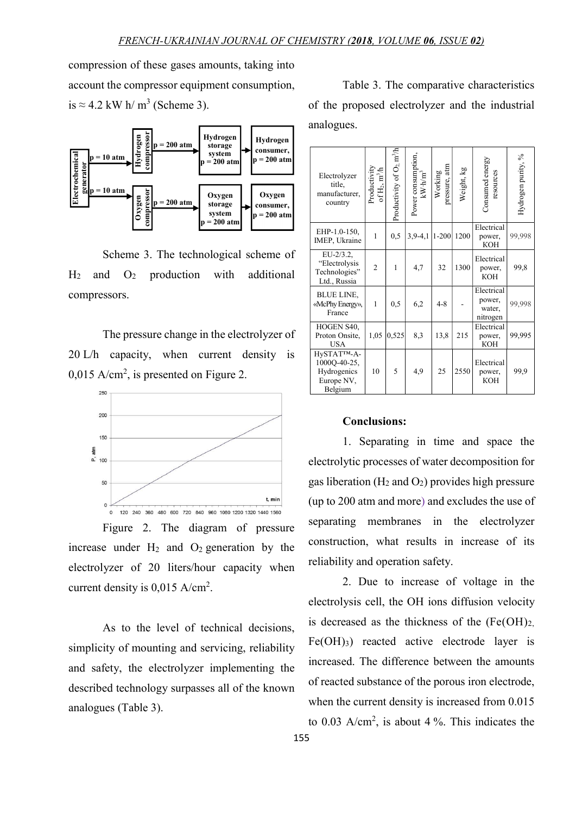compression of these gases amounts, taking into account the compressor equipment consumption, is  $\approx$  4.2 kW h/m<sup>3</sup> (Scheme 3).



Scheme 3. The technological scheme of  $H_2$  and  $O_2$  production with additional compressors.

The pressure change in the electrolyzer of 20 L/h capacity, when current density is  $0.015$  A/cm<sup>2</sup>, is presented on Figure 2.



Figure 2. The diagram of pressure increase under  $H_2$  and  $O_2$  generation by the electrolyzer of 20 liters/hour capacity when current density is  $0,015 \text{ A/cm}^2$ .

As to the level of technical decisions, simplicity of mounting and servicing, reliability and safety, the electrolyzer implementing the described technology surpasses all of the known analogues (Table 3).

Table 3. The comparative characteristics of the proposed electrolyzer and the industrial analogues.

| storage                                                                                                                      |                                                                       |                                                                 |                                                    |                                           |                          |            |                                            |                    |
|------------------------------------------------------------------------------------------------------------------------------|-----------------------------------------------------------------------|-----------------------------------------------------------------|----------------------------------------------------|-------------------------------------------|--------------------------|------------|--------------------------------------------|--------------------|
| consumer,<br>system<br>$p = 200$ atm<br>$p = 200$ atm<br>Oxygen<br>Oxygen<br>storage<br>consumer,<br>system<br>$p = 200$ atm | Electrolyzer<br>title,<br>manufacturer,<br>country                    | Productivity<br>$\mathbf{m}^3\!/\!\mathbf{h}$<br>of $\rm H_2$ : | Productivity of O <sub>2</sub> , m <sup>3</sup> /h | Power consumption,<br>kW·h/m <sup>3</sup> | pressure, atm<br>Working | Weight, kg | Consumed energy<br>resources               | Hydrogen purity, % |
| $p = 200$ atm                                                                                                                | EHP-1.0-150,<br>IMEP, Ukraine                                         | 1                                                               | 0,5                                                | $3,9-4,1$   1-200   1200                  |                          |            | Electrical<br>power,<br><b>KOH</b>         | 99,998             |
| nological scheme of<br>with<br>additional                                                                                    | $EU-2/3.2,$<br>"Electrolysis<br>Technologies"<br>Ltd., Russia         | $\overline{2}$                                                  | 1                                                  | 4.7                                       | 32                       | 1300       | Electrical<br>power,<br><b>KOH</b>         | 99,8               |
|                                                                                                                              | <b>BLUE LINE,</b><br>«McPhy Energy»,<br>France                        | 1                                                               | 0,5                                                | 6,2                                       | $4 - 8$                  |            | Electrical<br>power,<br>water.<br>nitrogen | 99,998             |
| in the electrolyzer of                                                                                                       | HOGEN S40,<br>Proton Onsite,<br><b>USA</b>                            |                                                                 | $1,05$ 0.525                                       | 8,3                                       | 13,8                     | 215        | Electrical<br>power,<br>KOH                | 99,995             |
| density<br>current<br>$\overline{1}S$<br>n Figure 2.                                                                         | HySTAT™-A-<br>$1000Q-40-25$ ,<br>Hydrogenics<br>Europe NV,<br>Belgium | 10                                                              | 5                                                  | 4,9                                       | 25                       | 2550       | Electrical<br>power,<br><b>KOH</b>         | 99,9               |

### Conclusions:

1. Separating in time and space the electrolytic processes of water decomposition for gas liberation ( $H_2$  and  $O_2$ ) provides high pressure (up to 200 atm and more) and excludes the use of separating membranes in the electrolyzer construction, what results in increase of its reliability and operation safety.

2. Due to increase of voltage in the electrolysis cell, the OH ions diffusion velocity is decreased as the thickness of the  $(Fe(OH))_{2}$ .  $Fe(OH)<sub>3</sub>$  reacted active electrode layer is increased. The difference between the amounts of reacted substance of the porous iron electrode, when the current density is increased from 0.015 to 0.03 A/cm<sup>2</sup>, is about 4 %. This indicates the